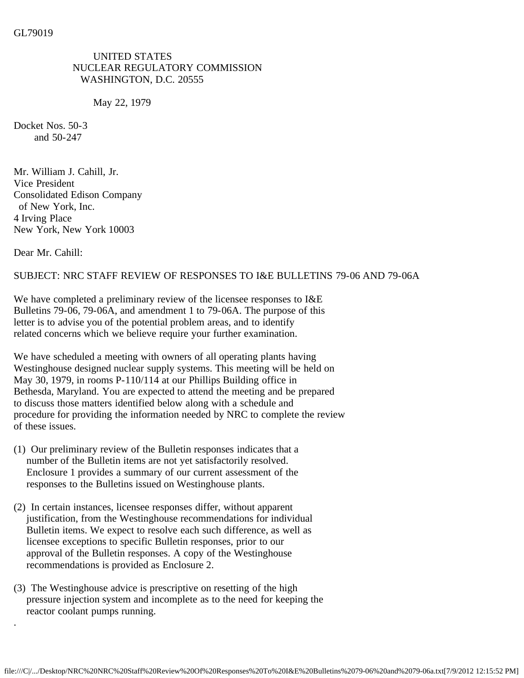UNITED STATES NUCLEAR REGULATORY COMMISSION WASHINGTON, D.C. 20555

May 22, 1979

Docket Nos. 50-3 and 50-247

Mr. William J. Cahill, Jr. Vice President Consolidated Edison Company of New York, Inc. 4 Irving Place New York, New York 10003

Dear Mr. Cahill:

.

## SUBJECT: NRC STAFF REVIEW OF RESPONSES TO I&E BULLETINS 79-06 AND 79-06A

We have completed a preliminary review of the licensee responses to I&E Bulletins 79-06, 79-06A, and amendment 1 to 79-06A. The purpose of this letter is to advise you of the potential problem areas, and to identify related concerns which we believe require your further examination.

We have scheduled a meeting with owners of all operating plants having Westinghouse designed nuclear supply systems. This meeting will be held on May 30, 1979, in rooms P-110/114 at our Phillips Building office in Bethesda, Maryland. You are expected to attend the meeting and be prepared to discuss those matters identified below along with a schedule and procedure for providing the information needed by NRC to complete the review of these issues.

- (1) Our preliminary review of the Bulletin responses indicates that a number of the Bulletin items are not yet satisfactorily resolved. Enclosure 1 provides a summary of our current assessment of the responses to the Bulletins issued on Westinghouse plants.
- (2) In certain instances, licensee responses differ, without apparent justification, from the Westinghouse recommendations for individual Bulletin items. We expect to resolve each such difference, as well as licensee exceptions to specific Bulletin responses, prior to our approval of the Bulletin responses. A copy of the Westinghouse recommendations is provided as Enclosure 2.
- (3) The Westinghouse advice is prescriptive on resetting of the high pressure injection system and incomplete as to the need for keeping the reactor coolant pumps running.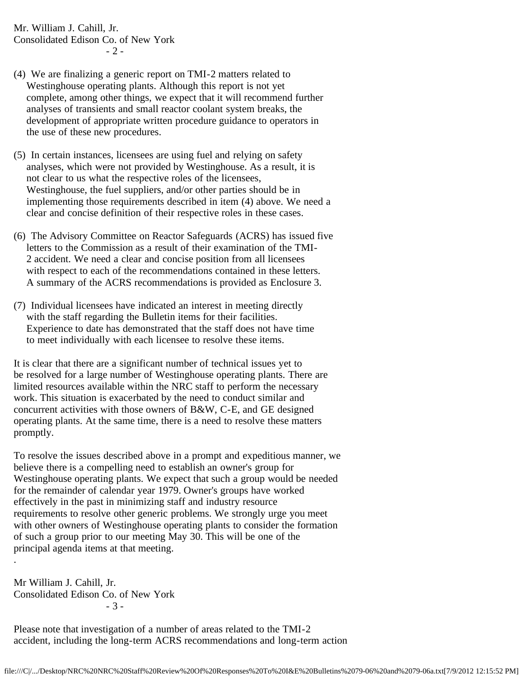Mr. William J. Cahill, Jr. Consolidated Edison Co. of New York  $-2-$ 

- (4) We are finalizing a generic report on TMI-2 matters related to Westinghouse operating plants. Although this report is not yet complete, among other things, we expect that it will recommend further analyses of transients and small reactor coolant system breaks, the development of appropriate written procedure guidance to operators in the use of these new procedures.
- (5) In certain instances, licensees are using fuel and relying on safety analyses, which were not provided by Westinghouse. As a result, it is not clear to us what the respective roles of the licensees, Westinghouse, the fuel suppliers, and/or other parties should be in implementing those requirements described in item (4) above. We need a clear and concise definition of their respective roles in these cases.
- (6) The Advisory Committee on Reactor Safeguards (ACRS) has issued five letters to the Commission as a result of their examination of the TMI- 2 accident. We need a clear and concise position from all licensees with respect to each of the recommendations contained in these letters. A summary of the ACRS recommendations is provided as Enclosure 3.
- (7) Individual licensees have indicated an interest in meeting directly with the staff regarding the Bulletin items for their facilities. Experience to date has demonstrated that the staff does not have time to meet individually with each licensee to resolve these items.

It is clear that there are a significant number of technical issues yet to be resolved for a large number of Westinghouse operating plants. There are limited resources available within the NRC staff to perform the necessary work. This situation is exacerbated by the need to conduct similar and concurrent activities with those owners of B&W, C-E, and GE designed operating plants. At the same time, there is a need to resolve these matters promptly.

To resolve the issues described above in a prompt and expeditious manner, we believe there is a compelling need to establish an owner's group for Westinghouse operating plants. We expect that such a group would be needed for the remainder of calendar year 1979. Owner's groups have worked effectively in the past in minimizing staff and industry resource requirements to resolve other generic problems. We strongly urge you meet with other owners of Westinghouse operating plants to consider the formation of such a group prior to our meeting May 30. This will be one of the principal agenda items at that meeting.

Mr William J. Cahill, Jr. Consolidated Edison Co. of New York - 3 -

.

Please note that investigation of a number of areas related to the TMI-2 accident, including the long-term ACRS recommendations and long-term action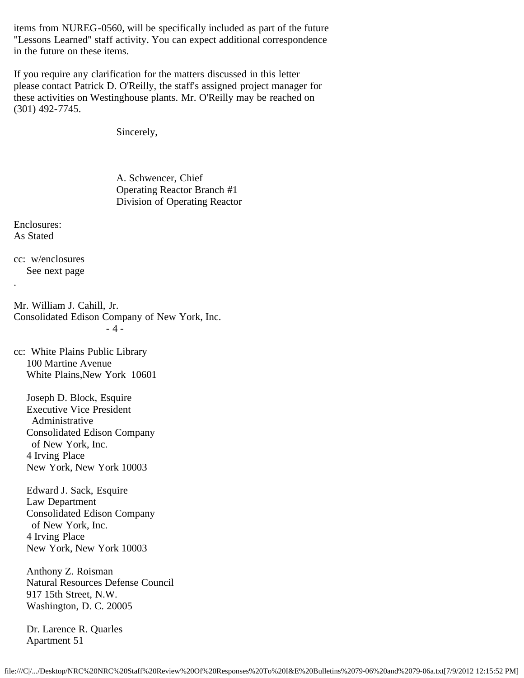items from NUREG-0560, will be specifically included as part of the future "Lessons Learned" staff activity. You can expect additional correspondence in the future on these items.

If you require any clarification for the matters discussed in this letter please contact Patrick D. O'Reilly, the staff's assigned project manager for these activities on Westinghouse plants. Mr. O'Reilly may be reached on (301) 492-7745.

Sincerely,

 A. Schwencer, Chief Operating Reactor Branch #1 Division of Operating Reactor

Enclosures: As Stated

.

cc: w/enclosures See next page

Mr. William J. Cahill, Jr. Consolidated Edison Company of New York, Inc. - 4 -

cc: White Plains Public Library 100 Martine Avenue White Plains,New York 10601

 Joseph D. Block, Esquire Executive Vice President Administrative Consolidated Edison Company of New York, Inc. 4 Irving Place New York, New York 10003

 Edward J. Sack, Esquire Law Department Consolidated Edison Company of New York, Inc. 4 Irving Place New York, New York 10003

 Anthony Z. Roisman Natural Resources Defense Council 917 15th Street, N.W. Washington, D. C. 20005

 Dr. Larence R. Quarles Apartment 51